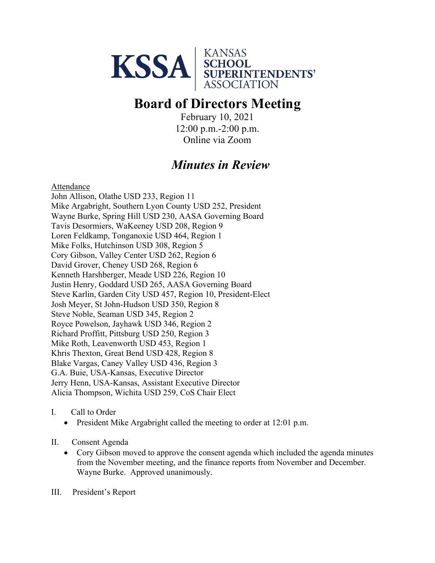

## **Board of Directors Meeting**

February 10, 2021 12:00 p.m.-2:00 p.m. Online via Zoom

## *Minutes in Review*

Attendance

John Allison, Olathe USD 233, Region 11 Mike Argabright, Southern Lyon County USD 252, President Wayne Burke, Spring Hill USD 230, AASA Governing Board Tavis Desormiers, WaKeeney USD 208, Region 9 Loren Feldkamp, Tonganoxie USD 464, Region 1 Mike Folks, Hutchinson USD 308, Region 5 Cory Gibson, Valley Center USD 262, Region 6 David Grover, Cheney USD 268, Region 6 Kenneth Harshberger, Meade USD 226, Region 10 Justin Henry, Goddard USD 265, AASA Governing Board Steve Karlin, Garden City USD 457, Region 10, President-Elect Josh Meyer, St John-Hudson USD 350, Region 8 Steve Noble, Seaman USD 345, Region 2 Royce Powelson, Jayhawk USD 346, Region 2 Richard Proffitt, Pittsburg USD 250, Region 3 Mike Roth, Leavenworth USD 453, Region 1 Khris Thexton, Great Bend USD 428, Region 8 Blake Vargas, Caney Valley USD 436, Region 3 G.A. Buie, USA-Kansas, Executive Director Jerry Henn, USA-Kansas, Assistant Executive Director Alicia Thompson, Wichita USD 259, CoS Chair Elect

- I. Call to Order
	- President Mike Argabright called the meeting to order at 12:01 p.m.
- II. Consent Agenda
	- Cory Gibson moved to approve the consent agenda which included the agenda minutes from the November meeting, and the finance reports from November and December. Wayne Burke. Approved unanimously.

III. President's Report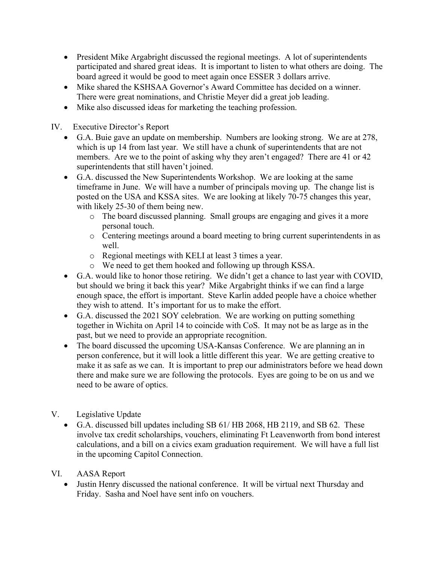- President Mike Argabright discussed the regional meetings. A lot of superintendents participated and shared great ideas. It is important to listen to what others are doing. The board agreed it would be good to meet again once ESSER 3 dollars arrive.
- Mike shared the KSHSAA Governor's Award Committee has decided on a winner. There were great nominations, and Christie Meyer did a great job leading.
- Mike also discussed ideas for marketing the teaching profession.

IV. Executive Director's Report

- G.A. Buie gave an update on membership. Numbers are looking strong. We are at 278, which is up 14 from last year. We still have a chunk of superintendents that are not members. Are we to the point of asking why they aren't engaged? There are 41 or 42 superintendents that still haven't joined.
- G.A. discussed the New Superintendents Workshop. We are looking at the same timeframe in June. We will have a number of principals moving up. The change list is posted on the USA and KSSA sites. We are looking at likely 70-75 changes this year, with likely 25-30 of them being new.
	- o The board discussed planning. Small groups are engaging and gives it a more personal touch.
	- o Centering meetings around a board meeting to bring current superintendents in as well.
	- o Regional meetings with KELI at least 3 times a year.
	- o We need to get them hooked and following up through KSSA.
- G.A. would like to honor those retiring. We didn't get a chance to last year with COVID, but should we bring it back this year? Mike Argabright thinks if we can find a large enough space, the effort is important. Steve Karlin added people have a choice whether they wish to attend. It's important for us to make the effort.
- G.A. discussed the 2021 SOY celebration. We are working on putting something together in Wichita on April 14 to coincide with CoS. It may not be as large as in the past, but we need to provide an appropriate recognition.
- The board discussed the upcoming USA-Kansas Conference. We are planning an in person conference, but it will look a little different this year. We are getting creative to make it as safe as we can. It is important to prep our administrators before we head down there and make sure we are following the protocols. Eyes are going to be on us and we need to be aware of optics.
- V. Legislative Update
	- G.A. discussed bill updates including SB 61/ HB 2068, HB 2119, and SB 62. These involve tax credit scholarships, vouchers, eliminating Ft Leavenworth from bond interest calculations, and a bill on a civics exam graduation requirement. We will have a full list in the upcoming Capitol Connection.
- VI. AASA Report
	- Justin Henry discussed the national conference. It will be virtual next Thursday and Friday. Sasha and Noel have sent info on vouchers.